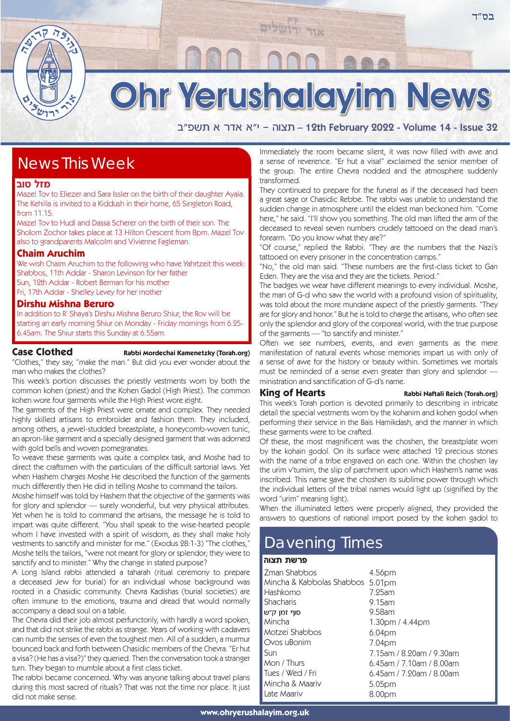

# Ohr Yerushalayim News

אור ירושלים

a"tyz ` xc` `"i - devz – 12th February 2022 - Volume 14 - Issue 32

# News This Week

# **מזל טוב**

Mazel Tov to Eliezer and Sara Issler on the birth of their daughter Ayala. The Kehilla is invited to a Kiddush in their home, 65 Singleton Road, from 11.15.

Mazel Tov to Hudi and Dassa Scherer on the birth of their son. The Sholom Zochor takes place at 13 Hilton Crescent from 8pm. Mazel Tov also to grandparents Malcolm and Vivienne Fagleman.

# **Chaim Aruchim**

We wish Chaim Aruchim to the following who have Yahrtzeit this week: Shabbos, 11th Addar - Sharon Levinson for her father Sun, 12th Addar - Robert Berman for his mother Fri, 17th Addar - Shelley Levey for her mother

# **Dirshu Mishna Beruro**

In addition to R' Shaya's Dirshu Mishna Beruro Shiur, the Rov will be starting an early morning Shiur on Monday - Friday mornings from 6.25- 6.45am. The Shiur starts this Sunday at 6.55am.

# Case Clothed Rabbi Mordechai Kamenetzky (Torah.org)

"Clothes," they say, "make the man." But did you ever wonder about the man who makes the clothes?

This week's portion discusses the priestly vestments worn by both the common kohen (priest) and the Kohen Gadol (High Priest). The common kohen wore four garments while the High Priest wore eight.

The garments of the High Priest were ornate and complex. They needed highly skilled artisans to embroider and fashion them. They included, among others, a jewel-studded breastplate, a honeycomb-woven tunic, an apron-like garment and a specially designed garment that was adorned with gold bells and woven pomegranates.

To weave these garments was quite a complex task, and Moshe had to direct the craftsmen with the particulars of the difficult sartorial laws. Yet when Hashem charges Moshe He described the function of the garments much differently then He did in telling Moshe to command the tailors.

Moshe himself was told by Hashem that the objective of the garments was for glory and splendor — surely wonderful, but very physical attributes. Yet when he is told to command the artisans, the message he is told to impart was quite different. "You shall speak to the wise-hearted people whom I have invested with a spirit of wisdom, as they shall make holy vestments to sanctify and minister for me." (Exodus 28:1-3) "The clothes," Moshe tells the tailors, "were not meant for glory or splendor; they were to sanctify and to minister." Why the change in stated purpose?

A Long Island rabbi attended a taharah (ritual ceremony to prepare a deceased Jew for burial) for an individual whose background was rooted in a Chasidic community. Chevra Kadishas (burial societies) are often immune to the emotions, trauma and dread that would normally accompany a dead soul on a table.

The Chevra did their job almost perfunctorily, with hardly a word spoken, and that did not strike the rabbi as strange. Years of working with cadavers can numb the senses of even the toughest men. All of a sudden, a murmur bounced back and forth between Chasidic members of the Chevra. "Er hut a visa? (He has a visa?)" they queried. Then the conversation took a stranger turn. They began to mumble about a first class ticket.

The rabbi became concerned. Why was anyone talking about travel plans during this most sacred of rituals? That was not the time nor place. It just did not make sense.

Immediately the room became silent, it was now filled with awe and a sense of reverence. "Er hut a visa!" exclaimed the senior member of the group. The entire Chevra nodded and the atmosphere suddenly transformed.

They continued to prepare for the funeral as if the deceased had been a great sage or Chasidic Rebbe. The rabbi was unable to understand the sudden change in atmosphere until the eldest man beckoned him. "Come here," he said. "I'll show you something. The old man lifted the arm of the deceased to reveal seven numbers crudely tattooed on the dead man's forearm. "Do you know what they are?"

"Of course," replied the Rabbi. "They are the numbers that the Nazi's tattooed on every prisoner in the concentration camps."

"No," the old man said. "These numbers are the first-class ticket to Gan Eden. They are the visa and they are the tickets. Period."

The badges we wear have different meanings to every individual. Moshe, the man of G-d who saw the world with a profound vision of spirituality, was told about the more mundane aspect of the priestly garments. "They are for glory and honor." But he is told to charge the artisans, who often see only the splendor and glory of the corporeal world, with the true purpose of the garments — "to sanctify and minister."

Often we see numbers, events, and even garments as the mere manifestation of natural events whose memories impart us with only of a sense of awe for the history or beauty within. Sometimes we mortals must be reminded of a sense even greater than glory and splendor ministration and sanctification of G-d's name.

### **King of Hearts** Rabbi Naftali Reich (Torah.org)

This week's Torah portion is devoted primarily to describing in intricate detail the special vestments worn by the kohanim and kohen godol when performing their service in the Bais Hamikdash, and the manner in which these garments were to be crafted.

Of these, the most magnificent was the choshen, the breastplate worn by the kohain godol. On its surface were attached 12 precious stones with the name of a tribe engraved on each one. Within the choshen lay the urim v'tumim, the slip of parchment upon which Hashem's name was inscribed. This name gave the choshen its sublime power through which the individual letters of the tribal names would light up (signified by the word "urim" meaning light).

When the illuminated letters were properly aligned, they provided the answers to questions of national import posed by the kohen gadol to

# Davening Times

# <mark>פרשת תצוה</mark>

| Zman Shabbos<br>Mincha & Kabbolas Shabbos 5.01pm<br>Hashkomo<br>Shacharis | 4.56pm<br>7.25am<br>$9.15$ am           |
|---------------------------------------------------------------------------|-----------------------------------------|
| סוף זמן ק״ש                                                               | $9.58$ am                               |
| Mincha                                                                    | 1.30 <sub>pm</sub> / 4.44 <sub>pm</sub> |
| Motzei Shabbos                                                            | 6.04pm                                  |
| Ovos uBonim                                                               | 7.04pm                                  |
| Sun                                                                       | 7.15am / 8.20am / 9.30am                |
| Mon / Thurs                                                               | $6.45$ am / 7.10am / 8.00am             |
| Tues / Wed / Fri                                                          | $6.45$ am / 7.20am / 8.00am             |
| Mincha & Maariv                                                           | 5.05pm                                  |
| Late Maariv                                                               | 8.00pm                                  |